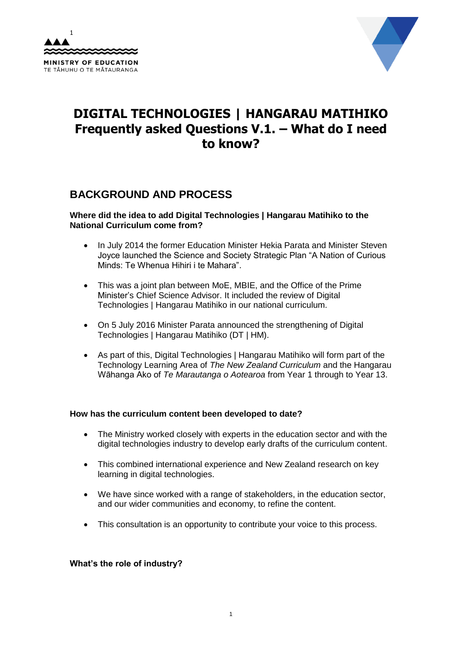



# **DIGITAL TECHNOLOGIES | HANGARAU MATIHIKO Frequently asked Questions V.1. – What do I need to know?**

# **BACKGROUND AND PROCESS**

#### **Where did the idea to add Digital Technologies | Hangarau Matihiko to the National Curriculum come from?**

- In July 2014 the former Education Minister Hekia Parata and Minister Steven Joyce launched the Science and Society Strategic Plan "A Nation of Curious Minds: Te Whenua Hihiri i te Mahara".
- This was a joint plan between MoE, MBIE, and the Office of the Prime Minister's Chief Science Advisor. It included the review of Digital Technologies | Hangarau Matihiko in our national curriculum.
- On 5 July 2016 Minister Parata announced the strengthening of Digital Technologies | Hangarau Matihiko (DT | HM).
- As part of this, Digital Technologies | Hangarau Matihiko will form part of the Technology Learning Area of *The New Zealand Curriculum* and the Hangarau Wāhanga Ako of *Te Marautanga o Aotearoa* from Year 1 through to Year 13.

## **How has the curriculum content been developed to date?**

- The Ministry worked closely with experts in the education sector and with the digital technologies industry to develop early drafts of the curriculum content.
- This combined international experience and New Zealand research on key learning in digital technologies.
- We have since worked with a range of stakeholders, in the education sector, and our wider communities and economy, to refine the content.
- This consultation is an opportunity to contribute your voice to this process.

## **What's the role of industry?**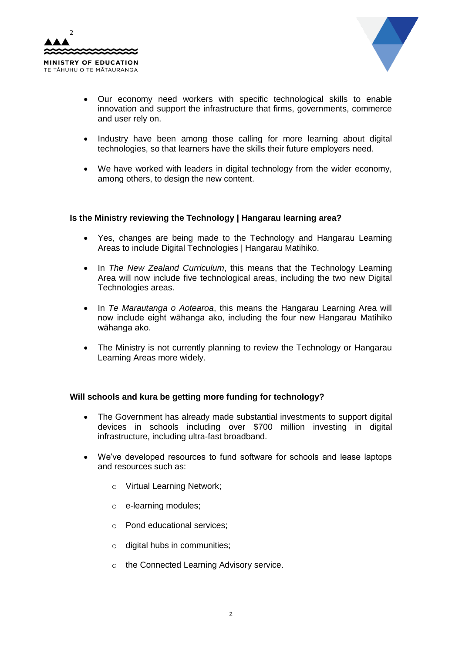



- Our economy need workers with specific technological skills to enable innovation and support the infrastructure that firms, governments, commerce and user rely on.
- Industry have been among those calling for more learning about digital technologies, so that learners have the skills their future employers need.
- We have worked with leaders in digital technology from the wider economy, among others, to design the new content.

#### **Is the Ministry reviewing the Technology | Hangarau learning area?**

- Yes, changes are being made to the Technology and Hangarau Learning Areas to include Digital Technologies | Hangarau Matihiko.
- In *The New Zealand Curriculum*, this means that the Technology Learning Area will now include five technological areas, including the two new Digital Technologies areas.
- In *Te Marautanga o Aotearoa*, this means the Hangarau Learning Area will now include eight wāhanga ako, including the four new Hangarau Matihiko wāhanga ako.
- The Ministry is not currently planning to review the Technology or Hangarau Learning Areas more widely.

#### **Will schools and kura be getting more funding for technology?**

- The Government has already made substantial investments to support digital devices in schools including over \$700 million investing in digital infrastructure, including ultra-fast broadband.
- We've developed resources to fund software for schools and lease laptops and resources such as:
	- o Virtual Learning Network;
	- o e-learning modules;
	- o Pond educational services;
	- o digital hubs in communities;
	- o the Connected Learning Advisory service.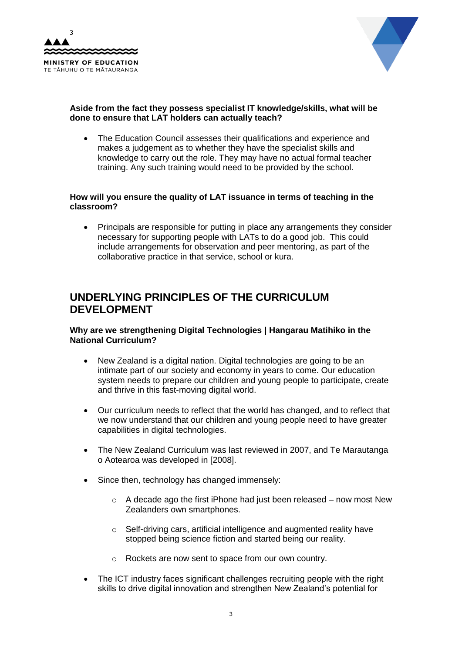



# **Aside from the fact they possess specialist IT knowledge/skills, what will be done to ensure that LAT holders can actually teach?**

 The Education Council assesses their qualifications and experience and makes a judgement as to whether they have the specialist skills and knowledge to carry out the role. They may have no actual formal teacher training. Any such training would need to be provided by the school.

#### **How will you ensure the quality of LAT issuance in terms of teaching in the classroom?**

 Principals are responsible for putting in place any arrangements they consider necessary for supporting people with LATs to do a good job. This could include arrangements for observation and peer mentoring, as part of the collaborative practice in that service, school or kura.

# **UNDERLYING PRINCIPLES OF THE CURRICULUM DEVELOPMENT**

## **Why are we strengthening Digital Technologies | Hangarau Matihiko in the National Curriculum?**

- New Zealand is a digital nation. Digital technologies are going to be an intimate part of our society and economy in years to come. Our education system needs to prepare our children and young people to participate, create and thrive in this fast-moving digital world.
- Our curriculum needs to reflect that the world has changed, and to reflect that we now understand that our children and young people need to have greater capabilities in digital technologies.
- The New Zealand Curriculum was last reviewed in 2007, and Te Marautanga o Aotearoa was developed in [2008].
- Since then, technology has changed immensely:
	- $\circ$  A decade ago the first iPhone had just been released now most New Zealanders own smartphones.
	- o Self-driving cars, artificial intelligence and augmented reality have stopped being science fiction and started being our reality.
	- o Rockets are now sent to space from our own country.
- The ICT industry faces significant challenges recruiting people with the right skills to drive digital innovation and strengthen New Zealand's potential for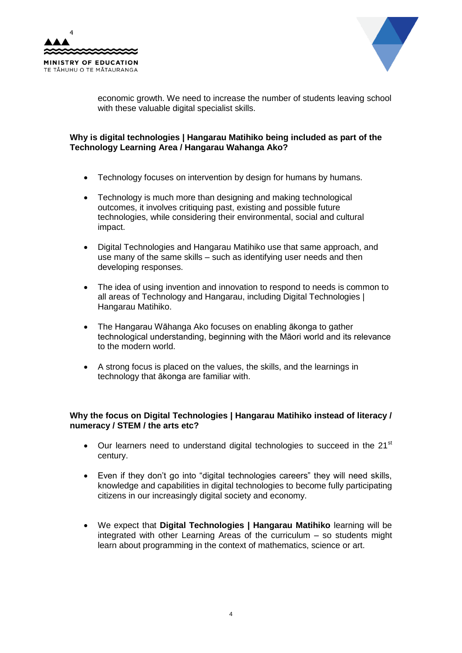



economic growth. We need to increase the number of students leaving school with these valuable digital specialist skills.

# **Why is digital technologies | Hangarau Matihiko being included as part of the Technology Learning Area / Hangarau Wahanga Ako?**

- Technology focuses on intervention by design for humans by humans.
- Technology is much more than designing and making technological outcomes, it involves critiquing past, existing and possible future technologies, while considering their environmental, social and cultural impact.
- Digital Technologies and Hangarau Matihiko use that same approach, and use many of the same skills – such as identifying user needs and then developing responses.
- The idea of using invention and innovation to respond to needs is common to all areas of Technology and Hangarau, including Digital Technologies | Hangarau Matihiko.
- The Hangarau Wāhanga Ako focuses on enabling ākonga to gather technological understanding, beginning with the Māori world and its relevance to the modern world.
- A strong focus is placed on the values, the skills, and the learnings in technology that ākonga are familiar with.

## **Why the focus on Digital Technologies | Hangarau Matihiko instead of literacy / numeracy / STEM / the arts etc?**

- Our learners need to understand digital technologies to succeed in the 21<sup>st</sup> century.
- Even if they don't go into "digital technologies careers" they will need skills, knowledge and capabilities in digital technologies to become fully participating citizens in our increasingly digital society and economy.
- We expect that **Digital Technologies | Hangarau Matihiko** learning will be integrated with other Learning Areas of the curriculum – so students might learn about programming in the context of mathematics, science or art.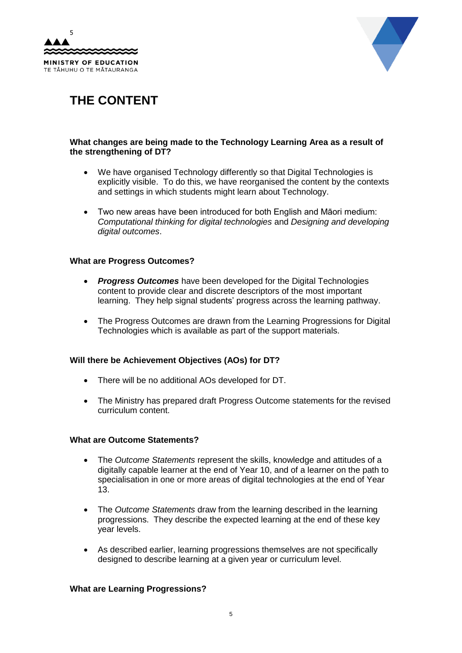



# **THE CONTENT**

## **What changes are being made to the Technology Learning Area as a result of the strengthening of DT?**

- We have organised Technology differently so that Digital Technologies is explicitly visible. To do this, we have reorganised the content by the contexts and settings in which students might learn about Technology.
- Two new areas have been introduced for both English and Māori medium: *Computational thinking for digital technologies* and *Designing and developing digital outcomes*.

#### **What are Progress Outcomes?**

- **Progress Outcomes** have been developed for the Digital Technologies content to provide clear and discrete descriptors of the most important learning. They help signal students' progress across the learning pathway.
- The Progress Outcomes are drawn from the Learning Progressions for Digital Technologies which is available as part of the support materials.

## **Will there be Achievement Objectives (AOs) for DT?**

- There will be no additional AOs developed for DT.
- The Ministry has prepared draft Progress Outcome statements for the revised curriculum content.

#### **What are Outcome Statements?**

- The *Outcome Statements* represent the skills, knowledge and attitudes of a digitally capable learner at the end of Year 10, and of a learner on the path to specialisation in one or more areas of digital technologies at the end of Year 13.
- The *Outcome Statements* draw from the learning described in the learning progressions. They describe the expected learning at the end of these key year levels.
- As described earlier, learning progressions themselves are not specifically designed to describe learning at a given year or curriculum level.

#### **What are Learning Progressions?**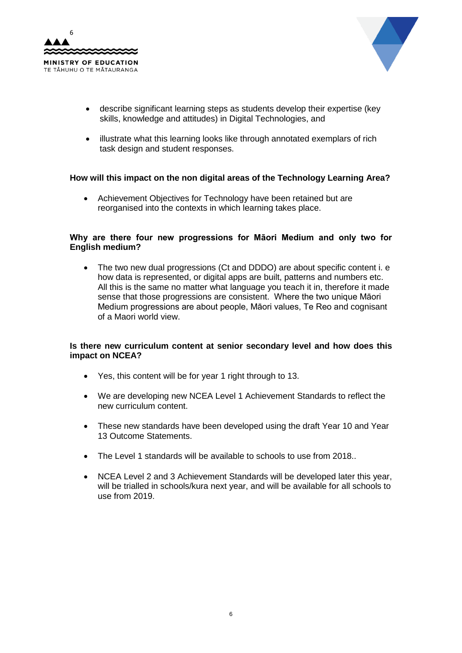



- describe significant learning steps as students develop their expertise (key skills, knowledge and attitudes) in Digital Technologies, and
- illustrate what this learning looks like through annotated exemplars of rich task design and student responses.

## **How will this impact on the non digital areas of the Technology Learning Area?**

 Achievement Objectives for Technology have been retained but are reorganised into the contexts in which learning takes place.

#### **Why are there four new progressions for Māori Medium and only two for English medium?**

 The two new dual progressions (Ct and DDDO) are about specific content i. e how data is represented, or digital apps are built, patterns and numbers etc. All this is the same no matter what language you teach it in, therefore it made sense that those progressions are consistent. Where the two unique Māori Medium progressions are about people, Māori values, Te Reo and cognisant of a Maori world view.

## **Is there new curriculum content at senior secondary level and how does this impact on NCEA?**

- Yes, this content will be for year 1 right through to 13.
- We are developing new NCEA Level 1 Achievement Standards to reflect the new curriculum content.
- These new standards have been developed using the draft Year 10 and Year 13 Outcome Statements.
- The Level 1 standards will be available to schools to use from 2018..
- NCEA Level 2 and 3 Achievement Standards will be developed later this year, will be trialled in schools/kura next year, and will be available for all schools to use from 2019.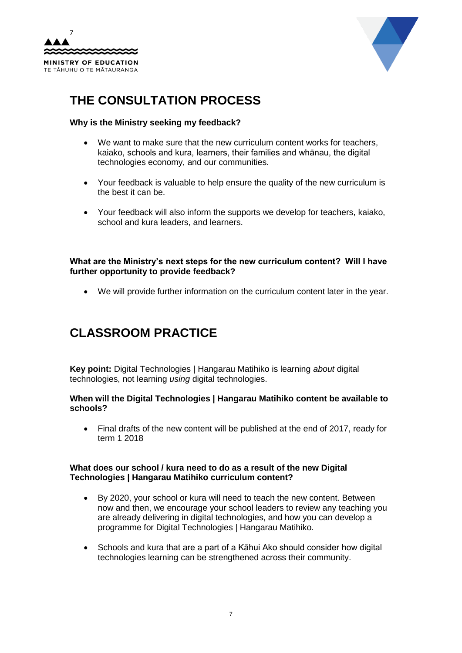



# **THE CONSULTATION PROCESS**

## **Why is the Ministry seeking my feedback?**

- We want to make sure that the new curriculum content works for teachers, kaiako, schools and kura, learners, their families and whānau, the digital technologies economy, and our communities.
- Your feedback is valuable to help ensure the quality of the new curriculum is the best it can be.
- Your feedback will also inform the supports we develop for teachers, kaiako, school and kura leaders, and learners.

**What are the Ministry's next steps for the new curriculum content? Will I have further opportunity to provide feedback?**

We will provide further information on the curriculum content later in the year.

# **CLASSROOM PRACTICE**

**Key point:** Digital Technologies | Hangarau Matihiko is learning *about* digital technologies, not learning *using* digital technologies.

#### **When will the Digital Technologies | Hangarau Matihiko content be available to schools?**

 Final drafts of the new content will be published at the end of 2017, ready for term 1 2018

#### **What does our school / kura need to do as a result of the new Digital Technologies | Hangarau Matihiko curriculum content?**

- By 2020, your school or kura will need to teach the new content. Between now and then, we encourage your school leaders to review any teaching you are already delivering in digital technologies, and how you can develop a programme for Digital Technologies | Hangarau Matihiko.
- Schools and kura that are a part of a Kāhui Ako should consider how digital technologies learning can be strengthened across their community.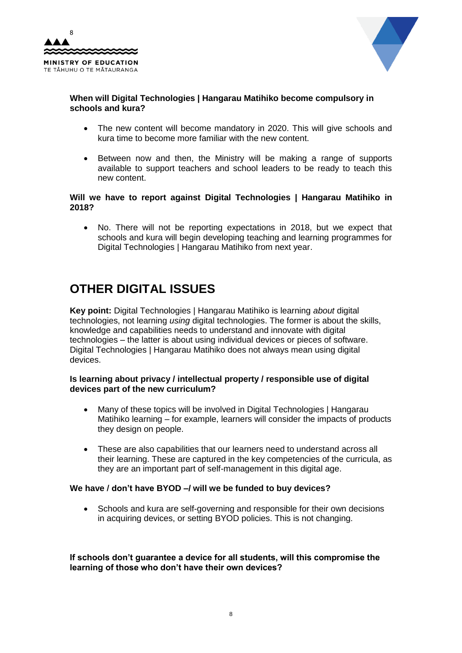



# **When will Digital Technologies | Hangarau Matihiko become compulsory in schools and kura?**

- The new content will become mandatory in 2020. This will give schools and kura time to become more familiar with the new content.
- Between now and then, the Ministry will be making a range of supports available to support teachers and school leaders to be ready to teach this new content.

#### **Will we have to report against Digital Technologies | Hangarau Matihiko in 2018?**

 No. There will not be reporting expectations in 2018, but we expect that schools and kura will begin developing teaching and learning programmes for Digital Technologies | Hangarau Matihiko from next year.

# **OTHER DIGITAL ISSUES**

**Key point:** Digital Technologies | Hangarau Matihiko is learning *about* digital technologies, not learning *using* digital technologies. The former is about the skills, knowledge and capabilities needs to understand and innovate with digital technologies – the latter is about using individual devices or pieces of software. Digital Technologies | Hangarau Matihiko does not always mean using digital devices.

#### **Is learning about privacy / intellectual property / responsible use of digital devices part of the new curriculum?**

- Many of these topics will be involved in Digital Technologies | Hangarau Matihiko learning – for example, learners will consider the impacts of products they design on people.
- These are also capabilities that our learners need to understand across all their learning. These are captured in the key competencies of the curricula, as they are an important part of self-management in this digital age.

## **We have / don't have BYOD –/ will we be funded to buy devices?**

• Schools and kura are self-governing and responsible for their own decisions in acquiring devices, or setting BYOD policies. This is not changing.

**If schools don't guarantee a device for all students, will this compromise the learning of those who don't have their own devices?**